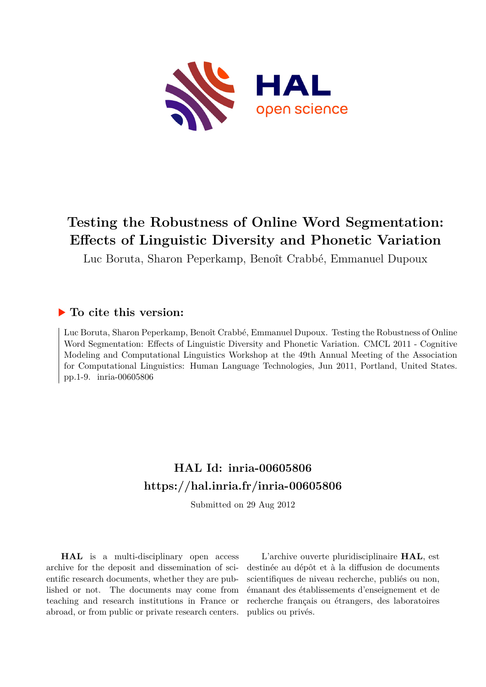

# **Testing the Robustness of Online Word Segmentation: Effects of Linguistic Diversity and Phonetic Variation**

Luc Boruta, Sharon Peperkamp, Benoît Crabbé, Emmanuel Dupoux

# **To cite this version:**

Luc Boruta, Sharon Peperkamp, Benoît Crabbé, Emmanuel Dupoux. Testing the Robustness of Online Word Segmentation: Effects of Linguistic Diversity and Phonetic Variation. CMCL 2011 - Cognitive Modeling and Computational Linguistics Workshop at the 49th Annual Meeting of the Association for Computational Linguistics: Human Language Technologies, Jun 2011, Portland, United States. pp.1-9. inria-00605806

# **HAL Id: inria-00605806 <https://hal.inria.fr/inria-00605806>**

Submitted on 29 Aug 2012

**HAL** is a multi-disciplinary open access archive for the deposit and dissemination of scientific research documents, whether they are published or not. The documents may come from teaching and research institutions in France or abroad, or from public or private research centers.

L'archive ouverte pluridisciplinaire **HAL**, est destinée au dépôt et à la diffusion de documents scientifiques de niveau recherche, publiés ou non, émanant des établissements d'enseignement et de recherche français ou étrangers, des laboratoires publics ou privés.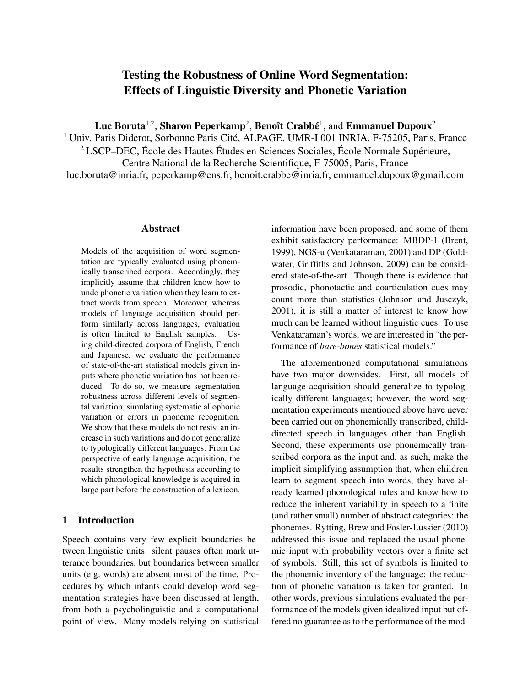# Testing the Robustness of Online Word Segmentation: Effects of Linguistic Diversity and Phonetic Variation

Luc Boruta $^{1,2}$ , Sharon Peperkamp $^{2}$ , Benoît Crabbé $^{1}$ , and Emmanuel Dupoux $^{2}$ 

<sup>1</sup> Univ. Paris Diderot, Sorbonne Paris Cité, ALPAGE, UMR-I 001 INRIA, F-75205, Paris, France  $2$  LSCP–DEC, École des Hautes Études en Sciences Sociales, École Normale Supérieure, Centre National de la Recherche Scientifique, F-75005, Paris, France luc.boruta@inria.fr, peperkamp@ens.fr, benoit.crabbe@inria.fr, emmanuel.dupoux@gmail.com

# Abstract

Models of the acquisition of word segmentation are typically evaluated using phonemically transcribed corpora. Accordingly, they implicitly assume that children know how to undo phonetic variation when they learn to extract words from speech. Moreover, whereas models of language acquisition should perform similarly across languages, evaluation is often limited to English samples. Using child-directed corpora of English, French and Japanese, we evaluate the performance of state-of-the-art statistical models given inputs where phonetic variation has not been reduced. To do so, we measure segmentation robustness across different levels of segmental variation, simulating systematic allophonic variation or errors in phoneme recognition. We show that these models do not resist an increase in such variations and do not generalize to typologically different languages. From the perspective of early language acquisition, the results strengthen the hypothesis according to which phonological knowledge is acquired in large part before the construction of a lexicon.

# 1 Introduction

Speech contains very few explicit boundaries between linguistic units: silent pauses often mark utterance boundaries, but boundaries between smaller units (e.g. words) are absent most of the time. Procedures by which infants could develop word segmentation strategies have been discussed at length, from both a psycholinguistic and a computational point of view. Many models relying on statistical

information have been proposed, and some of them exhibit satisfactory performance: MBDP-1 (Brent, 1999), NGS-u (Venkataraman, 2001) and DP (Goldwater, Griffiths and Johnson, 2009) can be considered state-of-the-art. Though there is evidence that prosodic, phonotactic and coarticulation cues may count more than statistics (Johnson and Jusczyk, 2001), it is still a matter of interest to know how much can be learned without linguistic cues. To use Venkataraman's words, we are interested in "the performance of *bare-bones* statistical models."

The aforementioned computational simulations have two major downsides. First, all models of language acquisition should generalize to typologically different languages; however, the word segmentation experiments mentioned above have never been carried out on phonemically transcribed, childdirected speech in languages other than English. Second, these experiments use phonemically transcribed corpora as the input and, as such, make the implicit simplifying assumption that, when children learn to segment speech into words, they have already learned phonological rules and know how to reduce the inherent variability in speech to a finite (and rather small) number of abstract categories: the phonemes. Rytting, Brew and Fosler-Lussier (2010) addressed this issue and replaced the usual phonemic input with probability vectors over a finite set of symbols. Still, this set of symbols is limited to the phonemic inventory of the language: the reduction of phonetic variation is taken for granted. In other words, previous simulations evaluated the performance of the models given idealized input but offered no guarantee as to the performance of the mod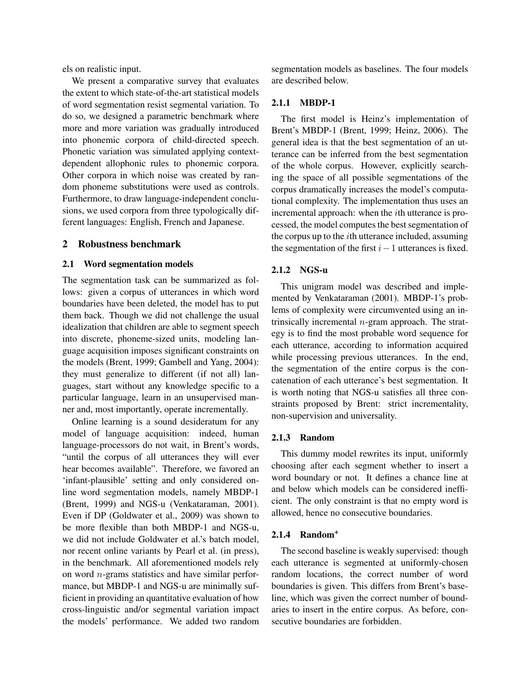els on realistic input.

We present a comparative survey that evaluates the extent to which state-of-the-art statistical models of word segmentation resist segmental variation. To do so, we designed a parametric benchmark where more and more variation was gradually introduced into phonemic corpora of child-directed speech. Phonetic variation was simulated applying contextdependent allophonic rules to phonemic corpora. Other corpora in which noise was created by random phoneme substitutions were used as controls. Furthermore, to draw language-independent conclusions, we used corpora from three typologically different languages: English, French and Japanese.

# 2 Robustness benchmark

#### 2.1 Word segmentation models

The segmentation task can be summarized as follows: given a corpus of utterances in which word boundaries have been deleted, the model has to put them back. Though we did not challenge the usual idealization that children are able to segment speech into discrete, phoneme-sized units, modeling language acquisition imposes significant constraints on the models (Brent, 1999; Gambell and Yang, 2004): they must generalize to different (if not all) languages, start without any knowledge specific to a particular language, learn in an unsupervised manner and, most importantly, operate incrementally.

Online learning is a sound desideratum for any model of language acquisition: indeed, human language-processors do not wait, in Brent's words, "until the corpus of all utterances they will ever hear becomes available". Therefore, we favored an 'infant-plausible' setting and only considered online word segmentation models, namely MBDP-1 (Brent, 1999) and NGS-u (Venkataraman, 2001). Even if DP (Goldwater et al., 2009) was shown to be more flexible than both MBDP-1 and NGS-u, we did not include Goldwater et al.'s batch model, nor recent online variants by Pearl et al. (in press), in the benchmark. All aforementioned models rely on word  $n$ -grams statistics and have similar performance, but MBDP-1 and NGS-u are minimally sufficient in providing an quantitative evaluation of how cross-linguistic and/or segmental variation impact the models' performance. We added two random

segmentation models as baselines. The four models are described below.

### 2.1.1 MBDP-1

The first model is Heinz's implementation of Brent's MBDP-1 (Brent, 1999; Heinz, 2006). The general idea is that the best segmentation of an utterance can be inferred from the best segmentation of the whole corpus. However, explicitly searching the space of all possible segmentations of the corpus dramatically increases the model's computational complexity. The implementation thus uses an incremental approach: when the ith utterance is processed, the model computes the best segmentation of the corpus up to the ith utterance included, assuming the segmentation of the first  $i-1$  utterances is fixed.

# 2.1.2 NGS-u

This unigram model was described and implemented by Venkataraman (2001). MBDP-1's problems of complexity were circumvented using an intrinsically incremental  $n$ -gram approach. The strategy is to find the most probable word sequence for each utterance, according to information acquired while processing previous utterances. In the end, the segmentation of the entire corpus is the concatenation of each utterance's best segmentation. It is worth noting that NGS-u satisfies all three constraints proposed by Brent: strict incrementality, non-supervision and universality.

#### 2.1.3 Random

This dummy model rewrites its input, uniformly choosing after each segment whether to insert a word boundary or not. It defines a chance line at and below which models can be considered inefficient. The only constraint is that no empty word is allowed, hence no consecutive boundaries.

# 2.1.4 Random<sup>+</sup>

The second baseline is weakly supervised: though each utterance is segmented at uniformly-chosen random locations, the correct number of word boundaries is given. This differs from Brent's baseline, which was given the correct number of boundaries to insert in the entire corpus. As before, consecutive boundaries are forbidden.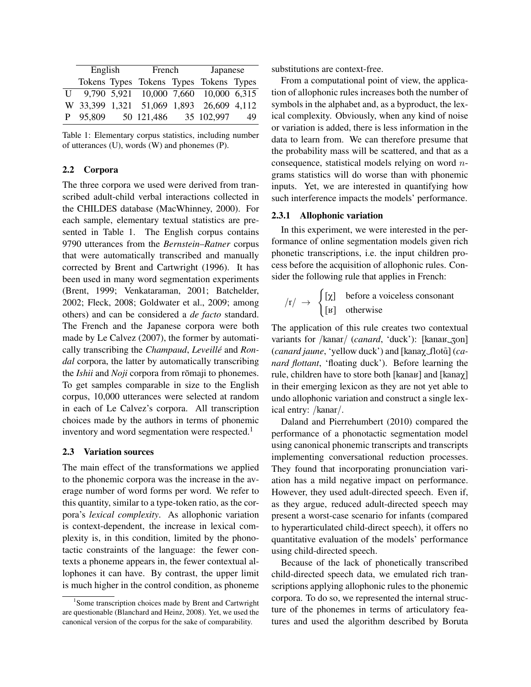| English  |  | French     |  | Japanese                                 |    |
|----------|--|------------|--|------------------------------------------|----|
|          |  |            |  | Tokens Types Tokens Types Tokens Types   |    |
|          |  |            |  | U 9,790 5,921 10,000 7,660 10,000 6,315  |    |
|          |  |            |  | W 33,399 1,321 51,069 1,893 26,609 4,112 |    |
| P 95,809 |  | 50 121,486 |  | 35 102,997                               | 49 |

Table 1: Elementary corpus statistics, including number of utterances (U), words (W) and phonemes (P).

# 2.2 Corpora

The three corpora we used were derived from transcribed adult-child verbal interactions collected in the CHILDES database (MacWhinney, 2000). For each sample, elementary textual statistics are presented in Table 1. The English corpus contains 9790 utterances from the *Bernstein–Ratner* corpus that were automatically transcribed and manually corrected by Brent and Cartwright (1996). It has been used in many word segmentation experiments (Brent, 1999; Venkataraman, 2001; Batchelder, 2002; Fleck, 2008; Goldwater et al., 2009; among others) and can be considered a *de facto* standard. The French and the Japanese corpora were both made by Le Calvez (2007), the former by automatically transcribing the *Champaud*, *Leveille´* and *Rondal* corpora, the latter by automatically transcribing the *Ishii* and *Noji* corpora from romaji to phonemes. To get samples comparable in size to the English corpus, 10,000 utterances were selected at random in each of Le Calvez's corpora. All transcription choices made by the authors in terms of phonemic inventory and word segmentation were respected.<sup>1</sup>

# 2.3 Variation sources

The main effect of the transformations we applied to the phonemic corpora was the increase in the average number of word forms per word. We refer to this quantity, similar to a type-token ratio, as the corpora's *lexical complexity*. As allophonic variation is context-dependent, the increase in lexical complexity is, in this condition, limited by the phonotactic constraints of the language: the fewer contexts a phoneme appears in, the fewer contextual allophones it can have. By contrast, the upper limit is much higher in the control condition, as phoneme

substitutions are context-free.

From a computational point of view, the application of allophonic rules increases both the number of symbols in the alphabet and, as a byproduct, the lexical complexity. Obviously, when any kind of noise or variation is added, there is less information in the data to learn from. We can therefore presume that the probability mass will be scattered, and that as a consequence, statistical models relying on word ngrams statistics will do worse than with phonemic inputs. Yet, we are interested in quantifying how such interference impacts the models' performance.

#### 2.3.1 Allophonic variation

In this experiment, we were interested in the performance of online segmentation models given rich phonetic transcriptions, i.e. the input children process before the acquisition of allophonic rules. Consider the following rule that applies in French:

$$
\begin{array}{rcl} \n\langle r \rangle & \rightarrow & \begin{cases} \n[\chi] & \text{before a voiceless consonant} \\ \n[\mu] & \text{otherwise} \n\end{cases} \n\end{array}
$$

The application of this rule creates two contextual variants for /kanar/ (*canard*, 'duck'): [kana $K$ \_zon] (*canard jaune*, 'yellow duck') and [kanax\_flotã] (*canard flottant*, 'floating duck'). Before learning the rule, children have to store both [kana $x$ ] and [kana $\chi$ ] in their emerging lexicon as they are not yet able to undo allophonic variation and construct a single lexical entry: /kanar/.

Daland and Pierrehumbert (2010) compared the performance of a phonotactic segmentation model using canonical phonemic transcripts and transcripts implementing conversational reduction processes. They found that incorporating pronunciation variation has a mild negative impact on performance. However, they used adult-directed speech. Even if, as they argue, reduced adult-directed speech may present a worst-case scenario for infants (compared to hyperarticulated child-direct speech), it offers no quantitative evaluation of the models' performance using child-directed speech.

Because of the lack of phonetically transcribed child-directed speech data, we emulated rich transcriptions applying allophonic rules to the phonemic corpora. To do so, we represented the internal structure of the phonemes in terms of articulatory features and used the algorithm described by Boruta

<sup>&</sup>lt;sup>1</sup> Some transcription choices made by Brent and Cartwright are questionable (Blanchard and Heinz, 2008). Yet, we used the canonical version of the corpus for the sake of comparability.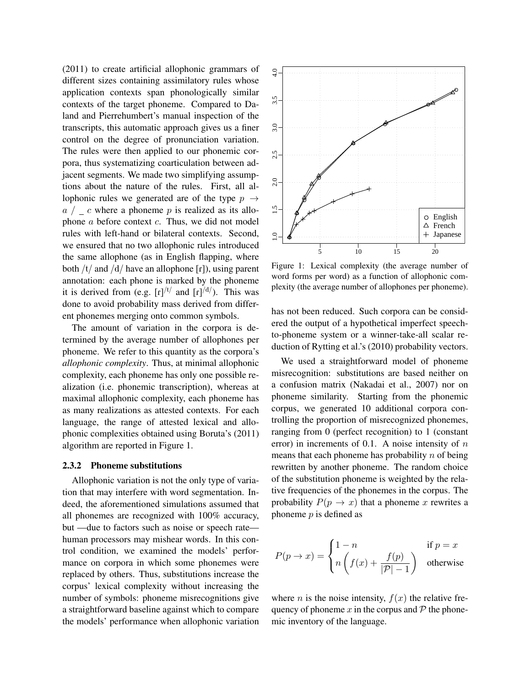(2011) to create artificial allophonic grammars of different sizes containing assimilatory rules whose application contexts span phonologically similar contexts of the target phoneme. Compared to Daland and Pierrehumbert's manual inspection of the transcripts, this automatic approach gives us a finer control on the degree of pronunciation variation. The rules were then applied to our phonemic corpora, thus systematizing coarticulation between adjacent segments. We made two simplifying assumptions about the nature of the rules. First, all allophonic rules we generated are of the type  $p \rightarrow$  $a / c$  where a phoneme p is realized as its allophone  $a$  before context  $c$ . Thus, we did not model rules with left-hand or bilateral contexts. Second, we ensured that no two allophonic rules introduced the same allophone (as in English flapping, where both  $/t/$  and  $/d/$  have an allophone  $[r]$ ), using parent annotation: each phone is marked by the phoneme it is derived from (e.g.  $[r]^{t/}$  and  $[r]^{d/}$ . This wasdone to avoid probability mass derived from different phonemes merging onto common symbols.

The amount of variation in the corpora is determined by the average number of allophones per phoneme. We refer to this quantity as the corpora's *allophonic complexity*. Thus, at minimal allophonic complexity, each phoneme has only one possible realization (i.e. phonemic transcription), whereas at maximal allophonic complexity, each phoneme has as many realizations as attested contexts. For each language, the range of attested lexical and allophonic complexities obtained using Boruta's (2011) algorithm are reported in Figure 1.

#### 2.3.2 Phoneme substitutions

Allophonic variation is not the only type of variation that may interfere with word segmentation. Indeed, the aforementioned simulations assumed that all phonemes are recognized with 100% accuracy, but —due to factors such as noise or speech rate human processors may mishear words. In this control condition, we examined the models' performance on corpora in which some phonemes were replaced by others. Thus, substitutions increase the corpus' lexical complexity without increasing the number of symbols: phoneme misrecognitions give a straightforward baseline against which to compare the models' performance when allophonic variation



Figure 1: Lexical complexity (the average number of word forms per word) as a function of allophonic complexity (the average number of allophones per phoneme).

has not been reduced. Such corpora can be considered the output of a hypothetical imperfect speechto-phoneme system or a winner-take-all scalar reduction of Rytting et al.'s (2010) probability vectors.

We used a straightforward model of phoneme misrecognition: substitutions are based neither on a confusion matrix (Nakadai et al., 2007) nor on phoneme similarity. Starting from the phonemic corpus, we generated 10 additional corpora controlling the proportion of misrecognized phonemes, ranging from 0 (perfect recognition) to 1 (constant error) in increments of 0.1. A noise intensity of  $n$ means that each phoneme has probability  $n$  of being rewritten by another phoneme. The random choice of the substitution phoneme is weighted by the relative frequencies of the phonemes in the corpus. The probability  $P(p \to x)$  that a phoneme x rewrites a phoneme  $p$  is defined as

$$
P(p \to x) = \begin{cases} 1 - n & \text{if } p = x \\ n \left( f(x) + \frac{f(p)}{|\mathcal{P}| - 1} \right) & \text{otherwise} \end{cases}
$$

where *n* is the noise intensity,  $f(x)$  the relative frequency of phoneme  $x$  in the corpus and  $\mathcal P$  the phonemic inventory of the language.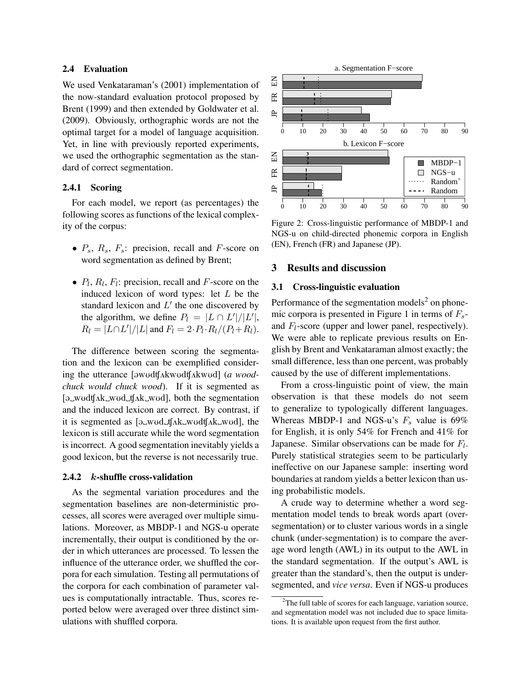# 2.4 Evaluation

We used Venkataraman's (2001) implementation of the now-standard evaluation protocol proposed by Brent (1999) and then extended by Goldwater et al. (2009). Obviously, orthographic words are not the optimal target for a model of language acquisition. Yet, in line with previously reported experiments, we used the orthographic segmentation as the standard of correct segmentation.

#### 2.4.1 Scoring

For each model, we report (as percentages) the following scores as functions of the lexical complexity of the corpus:

- $P_s$ ,  $R_s$ ,  $F_s$ : precision, recall and F-score on word segmentation as defined by Brent;
- $P_l$ ,  $R_l$ ,  $F_l$ : precision, recall and  $F$ -score on the induced lexicon of word types: let  $L$  be the standard lexicon and  $L'$  the one discovered by the algorithm, we define  $P_l = |L \cap L'|/|L'|$ ,  $R_l = |L \cap L'|/|L|$  and  $F_l = 2 \cdot P_l \cdot R_l / (P_l + R_l)$ .

The difference between scoring the segmentation and the lexicon can be exemplified considering the utterance [awudtfakwudtfakwud] (*a woodchuck would chuck wood*). If it is segmented as  $[\partial_w \text{wodd}_\Lambda k_w \text{wodd}_\Lambda k_w \text{wodd}]$ , both the segmentation and the induced lexicon are correct. By contrast, if it is segmented as  $[\partial_w w \partial_w f]$  ak wudt $[\Delta w \partial_w g]$ , the lexicon is still accurate while the word segmentation is incorrect. A good segmentation inevitably yields a good lexicon, but the reverse is not necessarily true.

#### 2.4.2 k-shuffle cross-validation

As the segmental variation procedures and the segmentation baselines are non-deterministic processes, all scores were averaged over multiple simulations. Moreover, as MBDP-1 and NGS-u operate incrementally, their output is conditioned by the order in which utterances are processed. To lessen the influence of the utterance order, we shuffled the corpora for each simulation. Testing all permutations of the corpora for each combination of parameter values is computationally intractable. Thus, scores reported below were averaged over three distinct simulations with shuffled corpora.



Figure 2: Cross-linguistic performance of MBDP-1 and NGS-u on child-directed phonemic corpora in English (EN), French (FR) and Japanese (JP).

#### 3 Results and discussion

#### 3.1 Cross-linguistic evaluation

Performance of the segmentation models<sup>2</sup> on phonemic corpora is presented in Figure 1 in terms of  $F_s$ and  $F_l$ -score (upper and lower panel, respectively). We were able to replicate previous results on English by Brent and Venkataraman almost exactly; the small difference, less than one percent, was probably caused by the use of different implementations.

From a cross-linguistic point of view, the main observation is that these models do not seem to generalize to typologically different languages. Whereas MBDP-1 and NGS-u's  $F_s$  value is 69% for English, it is only 54% for French and 41% for Japanese. Similar observations can be made for  $F_l$ . Purely statistical strategies seem to be particularly ineffective on our Japanese sample: inserting word boundaries at random yields a better lexicon than using probabilistic models.

A crude way to determine whether a word segmentation model tends to break words apart (oversegmentation) or to cluster various words in a single chunk (under-segmentation) is to compare the average word length (AWL) in its output to the AWL in the standard segmentation. If the output's AWL is greater than the standard's, then the output is undersegmented, and *vice versa*. Even if NGS-u produces

 $2^2$ The full table of scores for each language, variation source, and segmentation model was not included due to space limitations. It is available upon request from the first author.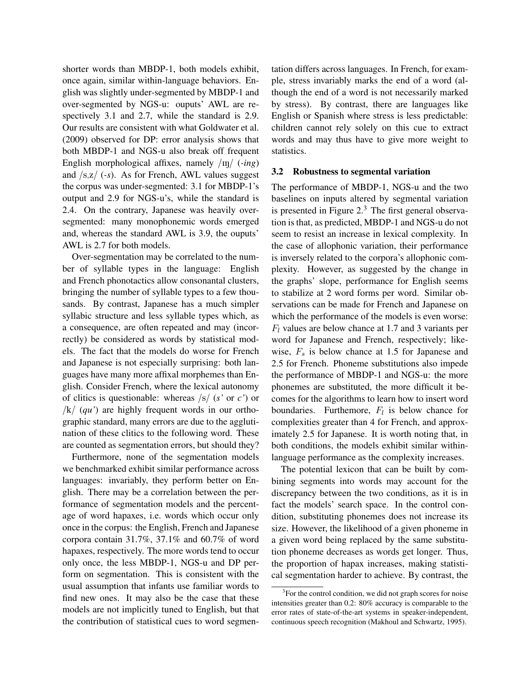shorter words than MBDP-1, both models exhibit, once again, similar within-language behaviors. English was slightly under-segmented by MBDP-1 and over-segmented by NGS-u: ouputs' AWL are respectively 3.1 and 2.7, while the standard is 2.9. Our results are consistent with what Goldwater et al. (2009) observed for DP: error analysis shows that both MBDP-1 and NGS-u also break off frequent English morphological affixes, namely /IN/ (*-ing*) and /s,z/ (*-s*). As for French, AWL values suggest the corpus was under-segmented: 3.1 for MBDP-1's output and 2.9 for NGS-u's, while the standard is 2.4. On the contrary, Japanese was heavily oversegmented: many monophonemic words emerged and, whereas the standard AWL is 3.9, the ouputs' AWL is 2.7 for both models.

Over-segmentation may be correlated to the number of syllable types in the language: English and French phonotactics allow consonantal clusters, bringing the number of syllable types to a few thousands. By contrast, Japanese has a much simpler syllabic structure and less syllable types which, as a consequence, are often repeated and may (incorrectly) be considered as words by statistical models. The fact that the models do worse for French and Japanese is not especially surprising: both languages have many more affixal morphemes than English. Consider French, where the lexical autonomy of clitics is questionable: whereas /s/ (*s'* or *c'*) or  $/k/$  (*qu'*) are highly frequent words in our orthographic standard, many errors are due to the agglutination of these clitics to the following word. These are counted as segmentation errors, but should they?

Furthermore, none of the segmentation models we benchmarked exhibit similar performance across languages: invariably, they perform better on English. There may be a correlation between the performance of segmentation models and the percentage of word hapaxes, i.e. words which occur only once in the corpus: the English, French and Japanese corpora contain 31.7%, 37.1% and 60.7% of word hapaxes, respectively. The more words tend to occur only once, the less MBDP-1, NGS-u and DP perform on segmentation. This is consistent with the usual assumption that infants use familiar words to find new ones. It may also be the case that these models are not implicitly tuned to English, but that the contribution of statistical cues to word segmentation differs across languages. In French, for example, stress invariably marks the end of a word (although the end of a word is not necessarily marked by stress). By contrast, there are languages like English or Spanish where stress is less predictable: children cannot rely solely on this cue to extract words and may thus have to give more weight to statistics.

#### 3.2 Robustness to segmental variation

The performance of MBDP-1, NGS-u and the two baselines on inputs altered by segmental variation is presented in Figure 2.<sup>3</sup> The first general observation is that, as predicted, MBDP-1 and NGS-u do not seem to resist an increase in lexical complexity. In the case of allophonic variation, their performance is inversely related to the corpora's allophonic complexity. However, as suggested by the change in the graphs' slope, performance for English seems to stabilize at 2 word forms per word. Similar observations can be made for French and Japanese on which the performance of the models is even worse:  $F_l$  values are below chance at 1.7 and 3 variants per word for Japanese and French, respectively; likewise,  $F_s$  is below chance at 1.5 for Japanese and 2.5 for French. Phoneme substitutions also impede the performance of MBDP-1 and NGS-u: the more phonemes are substituted, the more difficult it becomes for the algorithms to learn how to insert word boundaries. Furthemore,  $F_l$  is below chance for complexities greater than 4 for French, and approximately 2.5 for Japanese. It is worth noting that, in both conditions, the models exhibit similar withinlanguage performance as the complexity increases.

The potential lexicon that can be built by combining segments into words may account for the discrepancy between the two conditions, as it is in fact the models' search space. In the control condition, substituting phonemes does not increase its size. However, the likelihood of a given phoneme in a given word being replaced by the same substitution phoneme decreases as words get longer. Thus, the proportion of hapax increases, making statistical segmentation harder to achieve. By contrast, the

<sup>&</sup>lt;sup>3</sup>For the control condition, we did not graph scores for noise intensities greater than 0.2: 80% accuracy is comparable to the error rates of state-of-the-art systems in speaker-independent, continuous speech recognition (Makhoul and Schwartz, 1995).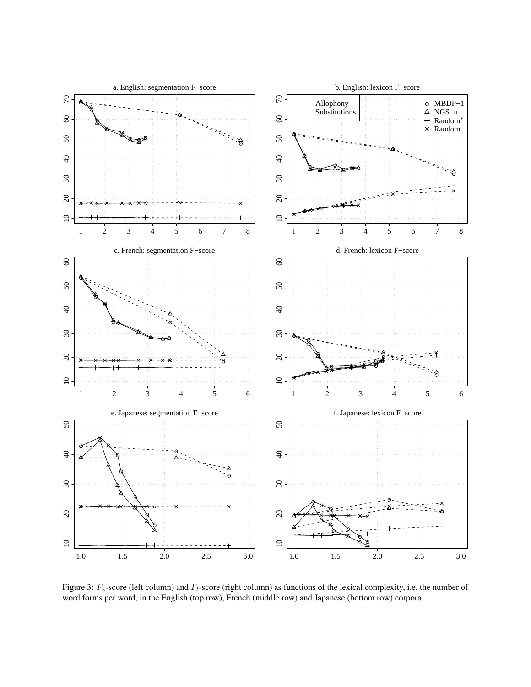

Figure 3:  $F_s$ -score (left column) and  $F_l$ -score (right column) as functions of the lexical complexity, i.e. the number of word forms per word, in the English (top row), French (middle row) and Japanese (bottom row) corpora.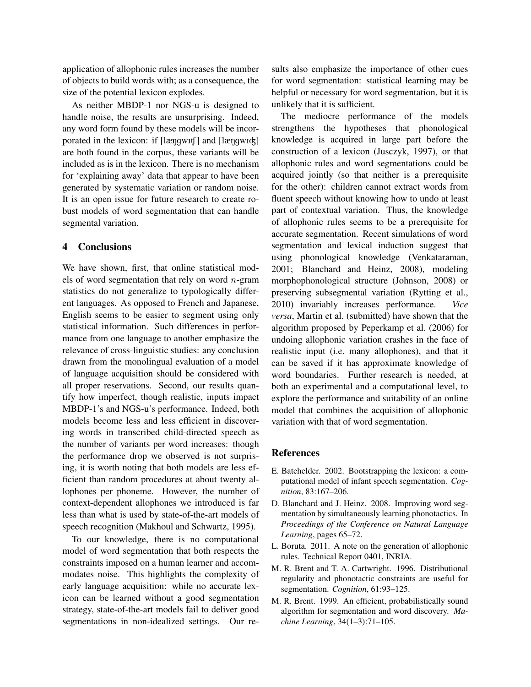application of allophonic rules increases the number of objects to build words with; as a consequence, the size of the potential lexicon explodes.

As neither MBDP-1 nor NGS-u is designed to handle noise, the results are unsurprising. Indeed, any word form found by these models will be incorporated in the lexicon: if [længwIt] and [længwIck] are both found in the corpus, these variants will be included as is in the lexicon. There is no mechanism for 'explaining away' data that appear to have been generated by systematic variation or random noise. It is an open issue for future research to create robust models of word segmentation that can handle segmental variation.

### 4 Conclusions

We have shown, first, that online statistical models of word segmentation that rely on word  $n$ -gram statistics do not generalize to typologically different languages. As opposed to French and Japanese, English seems to be easier to segment using only statistical information. Such differences in performance from one language to another emphasize the relevance of cross-linguistic studies: any conclusion drawn from the monolingual evaluation of a model of language acquisition should be considered with all proper reservations. Second, our results quantify how imperfect, though realistic, inputs impact MBDP-1's and NGS-u's performance. Indeed, both models become less and less efficient in discovering words in transcribed child-directed speech as the number of variants per word increases: though the performance drop we observed is not surprising, it is worth noting that both models are less efficient than random procedures at about twenty allophones per phoneme. However, the number of context-dependent allophones we introduced is far less than what is used by state-of-the-art models of speech recognition (Makhoul and Schwartz, 1995).

To our knowledge, there is no computational model of word segmentation that both respects the constraints imposed on a human learner and accommodates noise. This highlights the complexity of early language acquisition: while no accurate lexicon can be learned without a good segmentation strategy, state-of-the-art models fail to deliver good segmentations in non-idealized settings. Our results also emphasize the importance of other cues for word segmentation: statistical learning may be helpful or necessary for word segmentation, but it is unlikely that it is sufficient.

The mediocre performance of the models strengthens the hypotheses that phonological knowledge is acquired in large part before the construction of a lexicon (Jusczyk, 1997), or that allophonic rules and word segmentations could be acquired jointly (so that neither is a prerequisite for the other): children cannot extract words from fluent speech without knowing how to undo at least part of contextual variation. Thus, the knowledge of allophonic rules seems to be a prerequisite for accurate segmentation. Recent simulations of word segmentation and lexical induction suggest that using phonological knowledge (Venkataraman, 2001; Blanchard and Heinz, 2008), modeling morphophonological structure (Johnson, 2008) or preserving subsegmental variation (Rytting et al., 2010) invariably increases performance. *versa*, Martin et al. (submitted) have shown that the algorithm proposed by Peperkamp et al. (2006) for undoing allophonic variation crashes in the face of realistic input (i.e. many allophones), and that it can be saved if it has approximate knowledge of word boundaries. Further research is needed, at both an experimental and a computational level, to explore the performance and suitability of an online model that combines the acquisition of allophonic variation with that of word segmentation.

#### References

- E. Batchelder. 2002. Bootstrapping the lexicon: a computational model of infant speech segmentation. *Cognition*, 83:167–206.
- D. Blanchard and J. Heinz. 2008. Improving word segmentation by simultaneously learning phonotactics. In *Proceedings of the Conference on Natural Language Learning*, pages 65–72.
- L. Boruta. 2011. A note on the generation of allophonic rules. Technical Report 0401, INRIA.
- M. R. Brent and T. A. Cartwright. 1996. Distributional regularity and phonotactic constraints are useful for segmentation. *Cognition*, 61:93–125.
- M. R. Brent. 1999. An efficient, probabilistically sound algorithm for segmentation and word discovery. *Machine Learning*, 34(1–3):71–105.